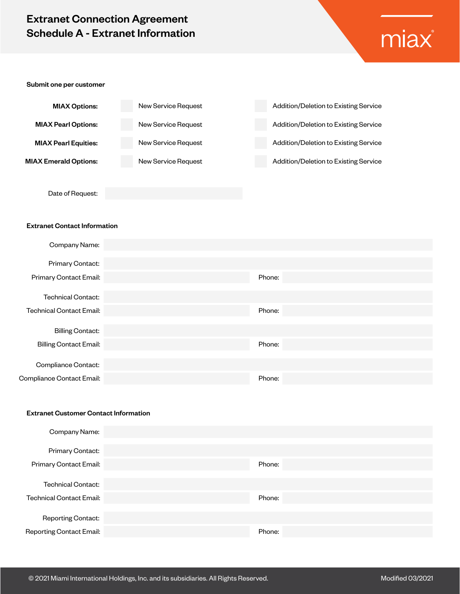## Extranet Connection Agreement Schedule A - Extranet Information

# miax®

#### Submit one per customer

| <b>MIAX Options:</b>         | New Service Request | Addition/Deletion to Existing Service |
|------------------------------|---------------------|---------------------------------------|
| <b>MIAX Pearl Options:</b>   | New Service Request | Addition/Deletion to Existing Service |
| <b>MIAX Pearl Equities:</b>  | New Service Request | Addition/Deletion to Existing Service |
| <b>MIAX Emerald Options:</b> | New Service Request | Addition/Deletion to Existing Service |
|                              |                     |                                       |

Date of Request:

#### Extranet Contact Information

| Company Name:                   |        |
|---------------------------------|--------|
| Primary Contact:                |        |
| Primary Contact Email:          | Phone: |
| <b>Technical Contact:</b>       |        |
| <b>Technical Contact Email:</b> | Phone: |
| <b>Billing Contact:</b>         |        |
| <b>Billing Contact Email:</b>   | Phone: |
| Compliance Contact:             |        |
| Compliance Contact Email:       | Phone: |

### Extranet Customer Contact Information

| Company Name:                   |        |
|---------------------------------|--------|
| Primary Contact:                |        |
| Primary Contact Email:          | Phone: |
| <b>Technical Contact:</b>       |        |
| <b>Technical Contact Email:</b> | Phone: |
| <b>Reporting Contact:</b>       |        |
| <b>Reporting Contact Email:</b> | Phone: |